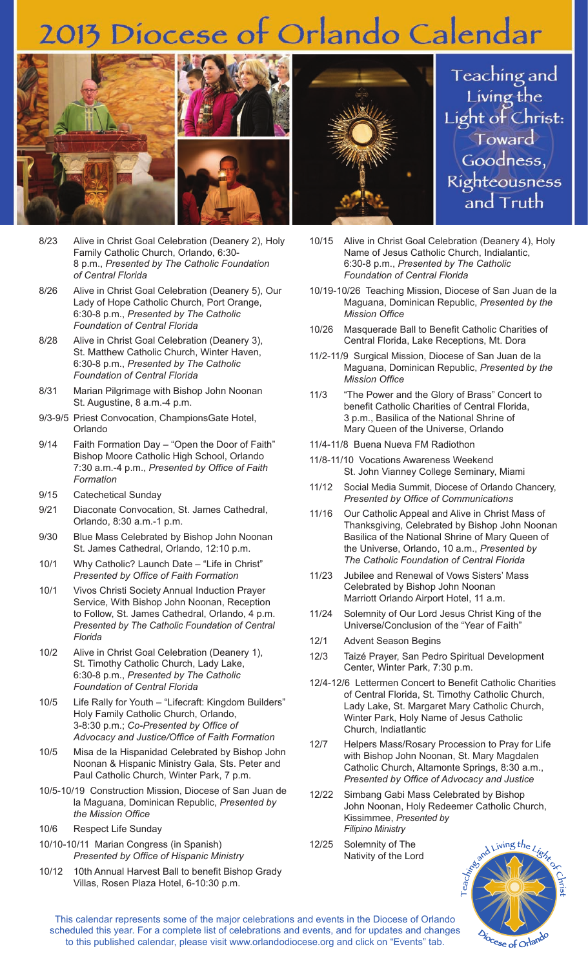## 2013 Diocese of Orlando Calendar



- 8/23 Alive in Christ Goal Celebration (Deanery 2), Holy Family Catholic Church, Orlando, 6:30- 8 p.m., *Presented by The Catholic Foundation of Central Florida*
- 8/26 Alive in Christ Goal Celebration (Deanery 5), Our Lady of Hope Catholic Church, Port Orange, 6:30-8 p.m., *Presented by The Catholic Foundation of Central Florida*
- 8/28 Alive in Christ Goal Celebration (Deanery 3), St. Matthew Catholic Church, Winter Haven, 6:30-8 p.m., *Presented by The Catholic Foundation of Central Florida*
- 8/31 Marian Pilgrimage with Bishop John Noonan St. Augustine, 8 a.m.-4 p.m.
- 9/3-9/5 Priest Convocation, ChampionsGate Hotel, Orlando
- 9/14 Faith Formation Day "Open the Door of Faith" Bishop Moore Catholic High School, Orlando 7:30 a.m.-4 p.m., *Presented by Office of Faith Formation*
- 9/15 Catechetical Sunday
- 9/21 Diaconate Convocation, St. James Cathedral, Orlando, 8:30 a.m.-1 p.m.
- 9/30 Blue Mass Celebrated by Bishop John Noonan St. James Cathedral, Orlando, 12:10 p.m.
- 10/1 Why Catholic? Launch Date "Life in Christ" *Presented by Office of Faith Formation*
- 10/1 Vivos Christi Society Annual Induction Prayer Service, With Bishop John Noonan, Reception to Follow, St. James Cathedral, Orlando, 4 p.m. *Presented by The Catholic Foundation of Central Florida*
- 10/2 Alive in Christ Goal Celebration (Deanery 1), St. Timothy Catholic Church, Lady Lake, 6:30-8 p.m., *Presented by The Catholic Foundation of Central Florida*
- 10/5 Life Rally for Youth "Lifecraft: Kingdom Builders" Holy Family Catholic Church, Orlando, 3-8:30 p.m.; *Co-Presented by Office of Advocacy and Justice/Office of Faith Formation*
- 10/5 Misa de la Hispanidad Celebrated by Bishop John Noonan & Hispanic Ministry Gala, Sts. Peter and Paul Catholic Church, Winter Park, 7 p.m.
- 10/5-10/19 Construction Mission, Diocese of San Juan de la Maguana, Dominican Republic, *Presented by the Mission Office*
- 10/6 Respect Life Sunday
- 10/10-10/11 Marian Congress (in Spanish) *Presented by Office of Hispanic Ministry*
- 10/12 10th Annual Harvest Ball to benefit Bishop Grady Villas, Rosen Plaza Hotel, 6-10:30 p.m.
- 10/15 Alive in Christ Goal Celebration (Deanery 4), Holy Name of Jesus Catholic Church, Indialantic, 6:30-8 p.m., *Presented by The Catholic Foundation of Central Florida*
- 10/19-10/26 Teaching Mission, Diocese of San Juan de la Maguana, Dominican Republic, *Presented by the Mission Office*
- 10/26 Masquerade Ball to Benefit Catholic Charities of Central Florida, Lake Receptions, Mt. Dora
- 11/2-11/9 Surgical Mission, Diocese of San Juan de la Maguana, Dominican Republic, *Presented by the Mission Office*
- 11/3 "The Power and the Glory of Brass" Concert to benefit Catholic Charities of Central Florida, 3 p.m., Basilica of the National Shrine of Mary Queen of the Universe, Orlando
- 11/4-11/8 Buena Nueva FM Radiothon
- 11/8-11/10 Vocations Awareness Weekend St. John Vianney College Seminary, Miami
- 11/12 Social Media Summit, Diocese of Orlando Chancery, *Presented by Office of Communications*
- 11/16 Our Catholic Appeal and Alive in Christ Mass of Thanksgiving, Celebrated by Bishop John Noonan Basilica of the National Shrine of Mary Queen of the Universe, Orlando, 10 a.m., *Presented by The Catholic Foundation of Central Florida*
- 11/23 Jubilee and Renewal of Vows Sisters' Mass Celebrated by Bishop John Noonan Marriott Orlando Airport Hotel, 11 a.m.
- 11/24 Solemnity of Our Lord Jesus Christ King of the Universe/Conclusion of the "Year of Faith"
- 12/1 Advent Season Begins
- 12/3 Taizé Prayer, San Pedro Spiritual Development Center, Winter Park, 7:30 p.m.
- 12/4-12/6 Lettermen Concert to Benefit Catholic Charities of Central Florida, St. Timothy Catholic Church, Lady Lake, St. Margaret Mary Catholic Church, Winter Park, Holy Name of Jesus Catholic Church, Indiatlantic
- 12/7 Helpers Mass/Rosary Procession to Pray for Life with Bishop John Noonan, St. Mary Magdalen Catholic Church, Altamonte Springs, 8:30 a.m., *Presented by Office of Advocacy and Justice*
- 12/22 Simbang Gabi Mass Celebrated by Bishop John Noonan, Holy Redeemer Catholic Church, Kissimmee, *Presented by Filipino Ministry*
- 12/25 Solemnity of The Nativity of the Lord



This calendar represents some of the major celebrations and events in the Diocese of Orlando scheduled this year. For a complete list of celebrations and events, and for updates and changes to this published calendar, please visit www.orlandodiocese.org and click on "Events" tab.